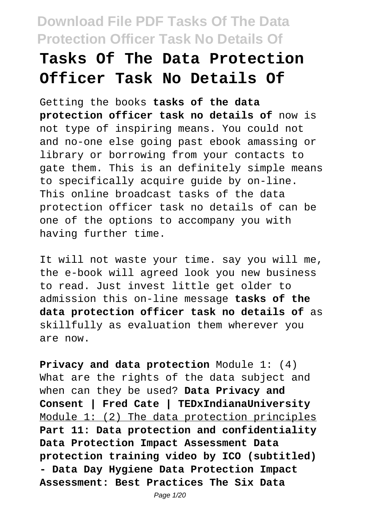# **Tasks Of The Data Protection Officer Task No Details Of**

Getting the books **tasks of the data protection officer task no details of** now is not type of inspiring means. You could not and no-one else going past ebook amassing or library or borrowing from your contacts to gate them. This is an definitely simple means to specifically acquire guide by on-line. This online broadcast tasks of the data protection officer task no details of can be one of the options to accompany you with having further time.

It will not waste your time. say you will me, the e-book will agreed look you new business to read. Just invest little get older to admission this on-line message **tasks of the data protection officer task no details of** as skillfully as evaluation them wherever you are now.

**Privacy and data protection** Module 1: (4) What are the rights of the data subject and when can they be used? **Data Privacy and Consent | Fred Cate | TEDxIndianaUniversity** Module 1: (2) The data protection principles **Part 11: Data protection and confidentiality Data Protection Impact Assessment Data protection training video by ICO (subtitled) - Data Day Hygiene Data Protection Impact Assessment: Best Practices The Six Data**

Page 1/20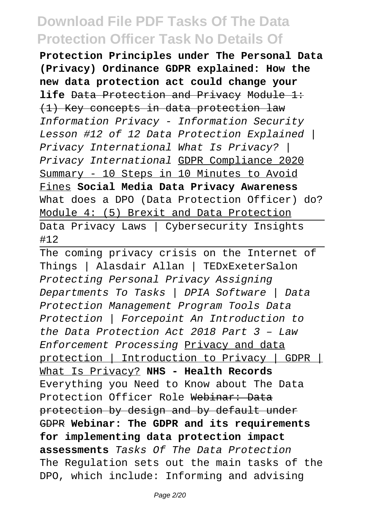**Protection Principles under The Personal Data (Privacy) Ordinance GDPR explained: How the new data protection act could change your life** Data Protection and Privacy Module 1: (1) Key concepts in data protection law Information Privacy - Information Security Lesson #12 of 12 Data Protection Explained | Privacy International What Is Privacy? | Privacy International GDPR Compliance 2020 Summary - 10 Steps in 10 Minutes to Avoid Fines **Social Media Data Privacy Awareness** What does a DPO (Data Protection Officer) do? Module 4: (5) Brexit and Data Protection Data Privacy Laws | Cybersecurity Insights #12

The coming privacy crisis on the Internet of Things | Alasdair Allan | TEDxExeterSalon Protecting Personal Privacy Assigning Departments To Tasks | DPIA Software | Data Protection Management Program Tools Data Protection | Forcepoint An Introduction to the Data Protection Act 2018 Part 3 – Law Enforcement Processing Privacy and data protection | Introduction to Privacy | GDPR | What Is Privacy? **NHS - Health Records** Everything you Need to Know about The Data Protection Officer Role Webinar: Data protection by design and by default under GDPR **Webinar: The GDPR and its requirements for implementing data protection impact assessments** Tasks Of The Data Protection The Regulation sets out the main tasks of the DPO, which include: Informing and advising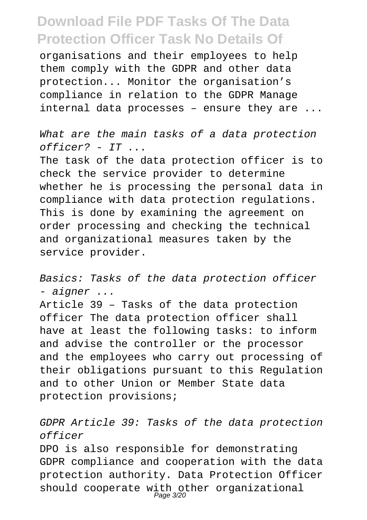organisations and their employees to help them comply with the GDPR and other data protection... Monitor the organisation's compliance in relation to the GDPR Manage internal data processes – ensure they are ...

What are the main tasks of a data protection officer? - IT ...

The task of the data protection officer is to check the service provider to determine whether he is processing the personal data in compliance with data protection regulations. This is done by examining the agreement on order processing and checking the technical and organizational measures taken by the service provider.

Basics: Tasks of the data protection officer - aigner ...

Article 39 – Tasks of the data protection officer The data protection officer shall have at least the following tasks: to inform and advise the controller or the processor and the employees who carry out processing of their obligations pursuant to this Regulation and to other Union or Member State data protection provisions;

GDPR Article 39: Tasks of the data protection officer

DPO is also responsible for demonstrating GDPR compliance and cooperation with the data protection authority. Data Protection Officer should cooperate with other organizational<br>Page 3/20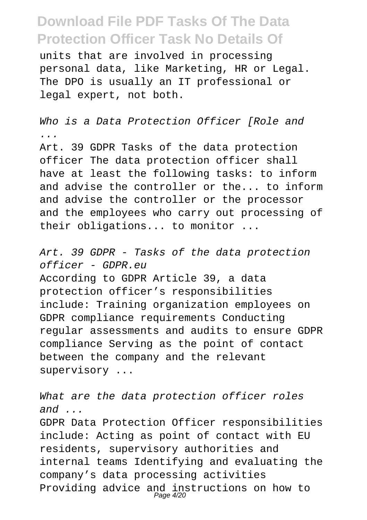units that are involved in processing personal data, like Marketing, HR or Legal. The DPO is usually an IT professional or legal expert, not both.

Who is a Data Protection Officer [Role and ... Art. 39 GDPR Tasks of the data protection officer The data protection officer shall have at least the following tasks: to inform and advise the controller or the... to inform and advise the controller or the processor

and the employees who carry out processing of their obligations... to monitor ...

Art. 39 GDPR - Tasks of the data protection officer - GDPR.eu According to GDPR Article 39, a data protection officer's responsibilities include: Training organization employees on GDPR compliance requirements Conducting regular assessments and audits to ensure GDPR compliance Serving as the point of contact between the company and the relevant supervisory ...

What are the data protection officer roles and  $\ldots$ GDPR Data Protection Officer responsibilities include: Acting as point of contact with EU residents, supervisory authorities and internal teams Identifying and evaluating the company's data processing activities Providing advice and instructions on how to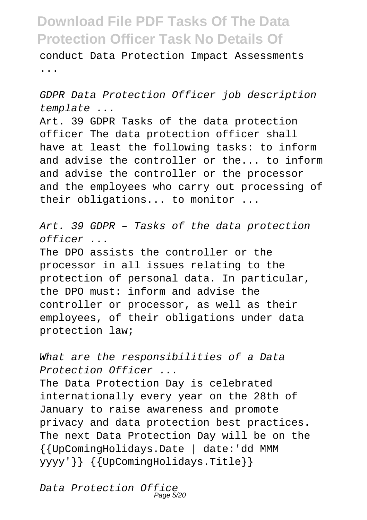conduct Data Protection Impact Assessments ...

GDPR Data Protection Officer job description template ...

Art. 39 GDPR Tasks of the data protection officer The data protection officer shall have at least the following tasks: to inform and advise the controller or the... to inform and advise the controller or the processor and the employees who carry out processing of their obligations... to monitor ...

Art. 39 GDPR – Tasks of the data protection officer ...

The DPO assists the controller or the processor in all issues relating to the protection of personal data. In particular, the DPO must: inform and advise the controller or processor, as well as their employees, of their obligations under data protection law;

What are the responsibilities of a Data Protection Officer ...

The Data Protection Day is celebrated internationally every year on the 28th of January to raise awareness and promote privacy and data protection best practices. The next Data Protection Day will be on the {{UpComingHolidays.Date | date:'dd MMM yyyy'}} {{UpComingHolidays.Title}}

Data Protection Office Page 5/20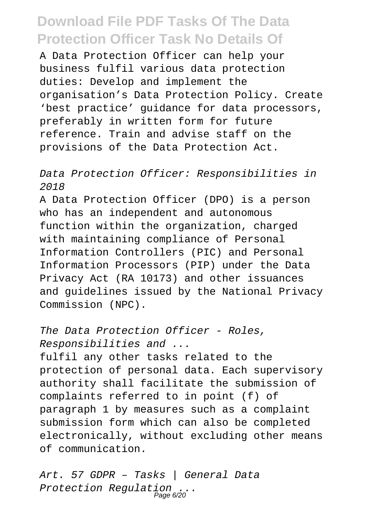A Data Protection Officer can help your business fulfil various data protection duties: Develop and implement the organisation's Data Protection Policy. Create 'best practice' guidance for data processors, preferably in written form for future reference. Train and advise staff on the provisions of the Data Protection Act.

#### Data Protection Officer: Responsibilities in 2018

A Data Protection Officer (DPO) is a person who has an independent and autonomous function within the organization, charged with maintaining compliance of Personal Information Controllers (PIC) and Personal Information Processors (PIP) under the Data Privacy Act (RA 10173) and other issuances and guidelines issued by the National Privacy Commission (NPC).

The Data Protection Officer - Roles, Responsibilities and ... fulfil any other tasks related to the protection of personal data. Each supervisory authority shall facilitate the submission of complaints referred to in point (f) of paragraph 1 by measures such as a complaint submission form which can also be completed electronically, without excluding other means of communication.

Art. 57 GDPR – Tasks | General Data Protection Regulation ...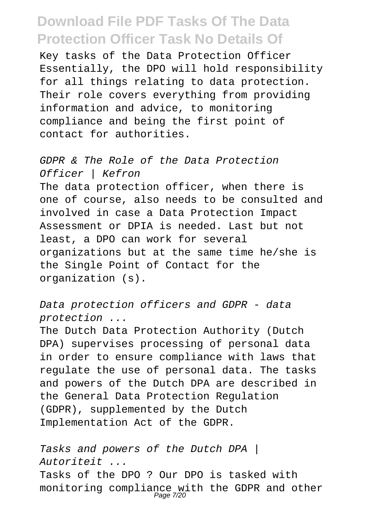Key tasks of the Data Protection Officer Essentially, the DPO will hold responsibility for all things relating to data protection. Their role covers everything from providing information and advice, to monitoring compliance and being the first point of contact for authorities.

GDPR & The Role of the Data Protection Officer | Kefron The data protection officer, when there is one of course, also needs to be consulted and involved in case a Data Protection Impact Assessment or DPIA is needed. Last but not least, a DPO can work for several organizations but at the same time he/she is the Single Point of Contact for the organization (s).

Data protection officers and GDPR - data protection ...

The Dutch Data Protection Authority (Dutch DPA) supervises processing of personal data in order to ensure compliance with laws that regulate the use of personal data. The tasks and powers of the Dutch DPA are described in the General Data Protection Regulation (GDPR), supplemented by the Dutch Implementation Act of the GDPR.

Tasks and powers of the Dutch DPA | Autoriteit ... Tasks of the DPO ? Our DPO is tasked with monitoring compliance with the GDPR and other<br>Page 7/20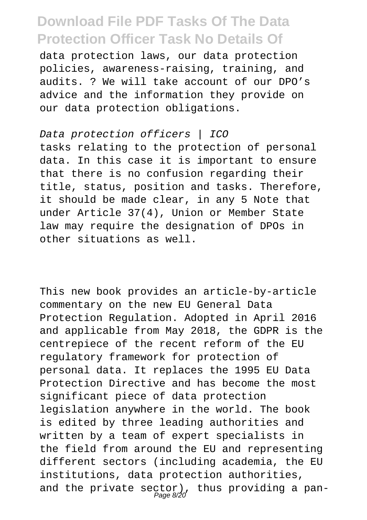data protection laws, our data protection policies, awareness-raising, training, and audits. ? We will take account of our DPO's advice and the information they provide on our data protection obligations.

#### Data protection officers | ICO tasks relating to the protection of personal data. In this case it is important to ensure that there is no confusion regarding their title, status, position and tasks. Therefore, it should be made clear, in any 5 Note that under Article 37(4), Union or Member State law may require the designation of DPOs in other situations as well.

This new book provides an article-by-article commentary on the new EU General Data Protection Regulation. Adopted in April 2016 and applicable from May 2018, the GDPR is the centrepiece of the recent reform of the EU regulatory framework for protection of personal data. It replaces the 1995 EU Data Protection Directive and has become the most significant piece of data protection legislation anywhere in the world. The book is edited by three leading authorities and written by a team of expert specialists in the field from around the EU and representing different sectors (including academia, the EU institutions, data protection authorities, and the private sector), thus providing a pan-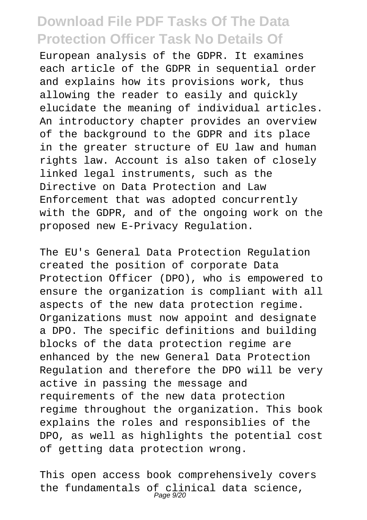European analysis of the GDPR. It examines each article of the GDPR in sequential order and explains how its provisions work, thus allowing the reader to easily and quickly elucidate the meaning of individual articles. An introductory chapter provides an overview of the background to the GDPR and its place in the greater structure of EU law and human rights law. Account is also taken of closely linked legal instruments, such as the Directive on Data Protection and Law Enforcement that was adopted concurrently with the GDPR, and of the ongoing work on the proposed new E-Privacy Regulation.

The EU's General Data Protection Regulation created the position of corporate Data Protection Officer (DPO), who is empowered to ensure the organization is compliant with all aspects of the new data protection regime. Organizations must now appoint and designate a DPO. The specific definitions and building blocks of the data protection regime are enhanced by the new General Data Protection Regulation and therefore the DPO will be very active in passing the message and requirements of the new data protection regime throughout the organization. This book explains the roles and responsiblies of the DPO, as well as highlights the potential cost of getting data protection wrong.

This open access book comprehensively covers the fundamentals of clinical data science,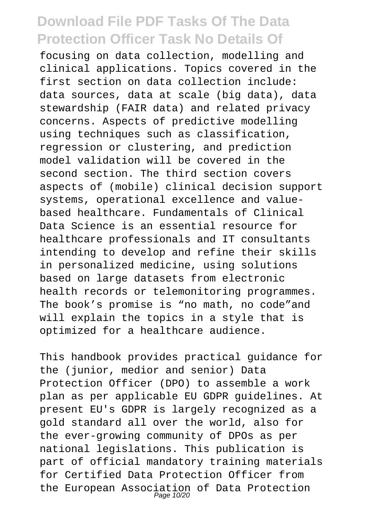focusing on data collection, modelling and clinical applications. Topics covered in the first section on data collection include: data sources, data at scale (big data), data stewardship (FAIR data) and related privacy concerns. Aspects of predictive modelling using techniques such as classification, regression or clustering, and prediction model validation will be covered in the second section. The third section covers aspects of (mobile) clinical decision support systems, operational excellence and valuebased healthcare. Fundamentals of Clinical Data Science is an essential resource for healthcare professionals and IT consultants intending to develop and refine their skills in personalized medicine, using solutions based on large datasets from electronic health records or telemonitoring programmes. The book's promise is "no math, no code"and will explain the topics in a style that is optimized for a healthcare audience.

This handbook provides practical guidance for the (junior, medior and senior) Data Protection Officer (DPO) to assemble a work plan as per applicable EU GDPR guidelines. At present EU's GDPR is largely recognized as a gold standard all over the world, also for the ever-growing community of DPOs as per national legislations. This publication is part of official mandatory training materials for Certified Data Protection Officer from the European Association of Data Protection<br>Page 10/20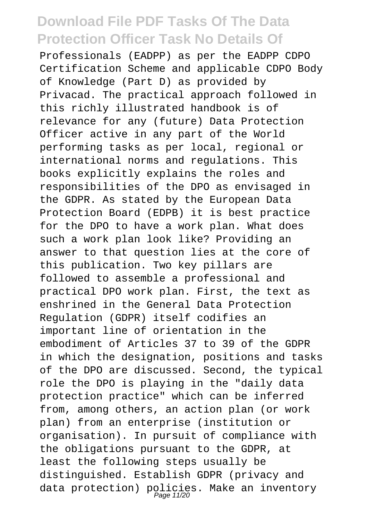Professionals (EADPP) as per the EADPP CDPO Certification Scheme and applicable CDPO Body of Knowledge (Part D) as provided by Privacad. The practical approach followed in this richly illustrated handbook is of relevance for any (future) Data Protection Officer active in any part of the World performing tasks as per local, regional or international norms and regulations. This books explicitly explains the roles and responsibilities of the DPO as envisaged in the GDPR. As stated by the European Data Protection Board (EDPB) it is best practice for the DPO to have a work plan. What does such a work plan look like? Providing an answer to that question lies at the core of this publication. Two key pillars are followed to assemble a professional and practical DPO work plan. First, the text as enshrined in the General Data Protection Regulation (GDPR) itself codifies an important line of orientation in the embodiment of Articles 37 to 39 of the GDPR in which the designation, positions and tasks of the DPO are discussed. Second, the typical role the DPO is playing in the "daily data protection practice" which can be inferred from, among others, an action plan (or work plan) from an enterprise (institution or organisation). In pursuit of compliance with the obligations pursuant to the GDPR, at least the following steps usually be distinguished. Establish GDPR (privacy and data protection) policies. Make an inventory<br>Page 11/20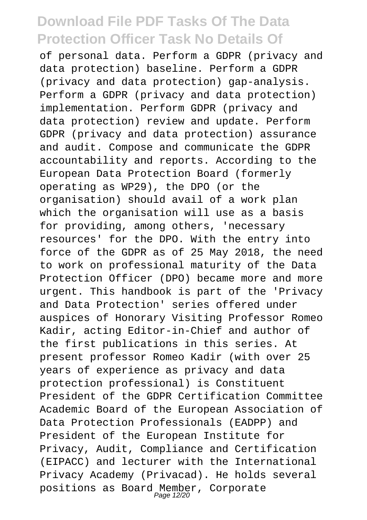of personal data. Perform a GDPR (privacy and data protection) baseline. Perform a GDPR (privacy and data protection) gap-analysis. Perform a GDPR (privacy and data protection) implementation. Perform GDPR (privacy and data protection) review and update. Perform GDPR (privacy and data protection) assurance and audit. Compose and communicate the GDPR accountability and reports. According to the European Data Protection Board (formerly operating as WP29), the DPO (or the organisation) should avail of a work plan which the organisation will use as a basis for providing, among others, 'necessary resources' for the DPO. With the entry into force of the GDPR as of 25 May 2018, the need to work on professional maturity of the Data Protection Officer (DPO) became more and more urgent. This handbook is part of the 'Privacy and Data Protection' series offered under auspices of Honorary Visiting Professor Romeo Kadir, acting Editor-in-Chief and author of the first publications in this series. At present professor Romeo Kadir (with over 25 years of experience as privacy and data protection professional) is Constituent President of the GDPR Certification Committee Academic Board of the European Association of Data Protection Professionals (EADPP) and President of the European Institute for Privacy, Audit, Compliance and Certification (EIPACC) and lecturer with the International Privacy Academy (Privacad). He holds several positions as Board Member, Corporate Page 12/20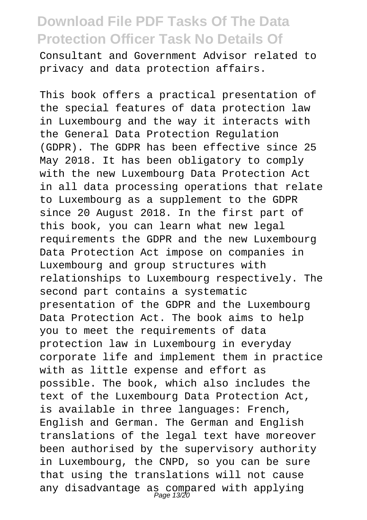Consultant and Government Advisor related to privacy and data protection affairs.

This book offers a practical presentation of the special features of data protection law in Luxembourg and the way it interacts with the General Data Protection Regulation (GDPR). The GDPR has been effective since 25 May 2018. It has been obligatory to comply with the new Luxembourg Data Protection Act in all data processing operations that relate to Luxembourg as a supplement to the GDPR since 20 August 2018. In the first part of this book, you can learn what new legal requirements the GDPR and the new Luxembourg Data Protection Act impose on companies in Luxembourg and group structures with relationships to Luxembourg respectively. The second part contains a systematic presentation of the GDPR and the Luxembourg Data Protection Act. The book aims to help you to meet the requirements of data protection law in Luxembourg in everyday corporate life and implement them in practice with as little expense and effort as possible. The book, which also includes the text of the Luxembourg Data Protection Act, is available in three languages: French, English and German. The German and English translations of the legal text have moreover been authorised by the supervisory authority in Luxembourg, the CNPD, so you can be sure that using the translations will not cause any disadvantage as compared with applying Page 13/20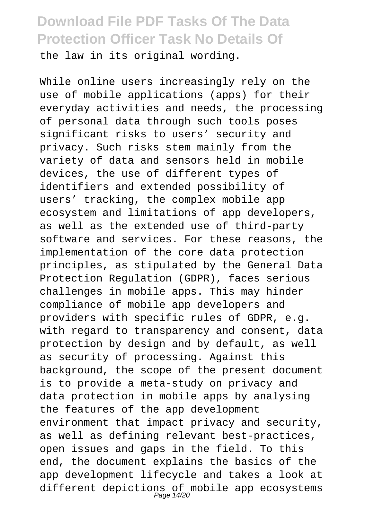the law in its original wording.

While online users increasingly rely on the use of mobile applications (apps) for their everyday activities and needs, the processing of personal data through such tools poses significant risks to users' security and privacy. Such risks stem mainly from the variety of data and sensors held in mobile devices, the use of different types of identifiers and extended possibility of users' tracking, the complex mobile app ecosystem and limitations of app developers, as well as the extended use of third-party software and services. For these reasons, the implementation of the core data protection principles, as stipulated by the General Data Protection Regulation (GDPR), faces serious challenges in mobile apps. This may hinder compliance of mobile app developers and providers with specific rules of GDPR, e.g. with regard to transparency and consent, data protection by design and by default, as well as security of processing. Against this background, the scope of the present document is to provide a meta-study on privacy and data protection in mobile apps by analysing the features of the app development environment that impact privacy and security, as well as defining relevant best-practices, open issues and gaps in the field. To this end, the document explains the basics of the app development lifecycle and takes a look at different depictions of mobile app ecosystems<br>Page 14/20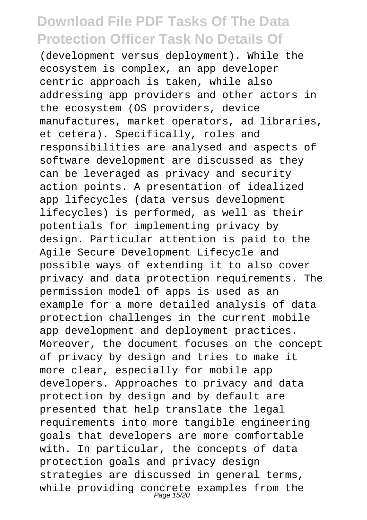(development versus deployment). While the ecosystem is complex, an app developer centric approach is taken, while also addressing app providers and other actors in the ecosystem (OS providers, device manufactures, market operators, ad libraries, et cetera). Specifically, roles and responsibilities are analysed and aspects of software development are discussed as they can be leveraged as privacy and security action points. A presentation of idealized app lifecycles (data versus development lifecycles) is performed, as well as their potentials for implementing privacy by design. Particular attention is paid to the Agile Secure Development Lifecycle and possible ways of extending it to also cover privacy and data protection requirements. The permission model of apps is used as an example for a more detailed analysis of data protection challenges in the current mobile app development and deployment practices. Moreover, the document focuses on the concept of privacy by design and tries to make it more clear, especially for mobile app developers. Approaches to privacy and data protection by design and by default are presented that help translate the legal requirements into more tangible engineering goals that developers are more comfortable with. In particular, the concepts of data protection goals and privacy design strategies are discussed in general terms, while providing concrete examples from the<br>Page 15/20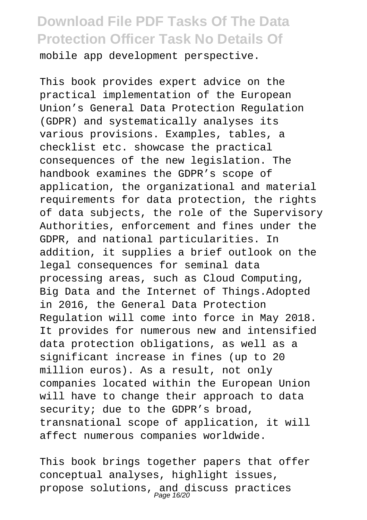mobile app development perspective.

This book provides expert advice on the practical implementation of the European Union's General Data Protection Regulation (GDPR) and systematically analyses its various provisions. Examples, tables, a checklist etc. showcase the practical consequences of the new legislation. The handbook examines the GDPR's scope of application, the organizational and material requirements for data protection, the rights of data subjects, the role of the Supervisory Authorities, enforcement and fines under the GDPR, and national particularities. In addition, it supplies a brief outlook on the legal consequences for seminal data processing areas, such as Cloud Computing, Big Data and the Internet of Things.Adopted in 2016, the General Data Protection Regulation will come into force in May 2018. It provides for numerous new and intensified data protection obligations, as well as a significant increase in fines (up to 20 million euros). As a result, not only companies located within the European Union will have to change their approach to data security; due to the GDPR's broad, transnational scope of application, it will affect numerous companies worldwide.

This book brings together papers that offer conceptual analyses, highlight issues, propose solutions, and discuss practices<br>Page 16/20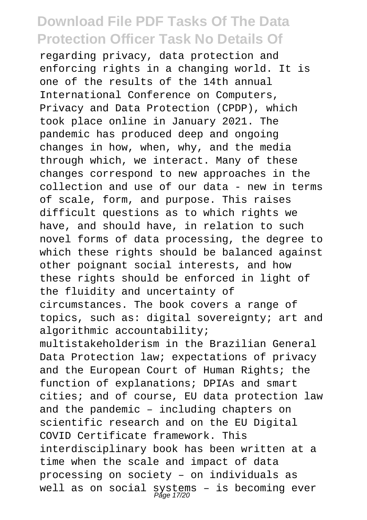regarding privacy, data protection and enforcing rights in a changing world. It is one of the results of the 14th annual International Conference on Computers, Privacy and Data Protection (CPDP), which took place online in January 2021. The pandemic has produced deep and ongoing changes in how, when, why, and the media through which, we interact. Many of these changes correspond to new approaches in the collection and use of our data - new in terms of scale, form, and purpose. This raises difficult questions as to which rights we have, and should have, in relation to such novel forms of data processing, the degree to which these rights should be balanced against other poignant social interests, and how these rights should be enforced in light of the fluidity and uncertainty of circumstances. The book covers a range of topics, such as: digital sovereignty; art and algorithmic accountability; multistakeholderism in the Brazilian General Data Protection law; expectations of privacy and the European Court of Human Rights; the function of explanations; DPIAs and smart cities; and of course, EU data protection law and the pandemic – including chapters on scientific research and on the EU Digital COVID Certificate framework. This interdisciplinary book has been written at a time when the scale and impact of data processing on society – on individuals as well as on social systems - is becoming ever<br>Page 17/20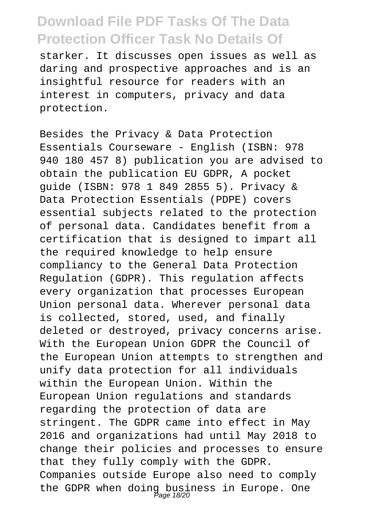starker. It discusses open issues as well as daring and prospective approaches and is an insightful resource for readers with an interest in computers, privacy and data protection.

Besides the Privacy & Data Protection Essentials Courseware - English (ISBN: 978 940 180 457 8) publication you are advised to obtain the publication EU GDPR, A pocket guide (ISBN: 978 1 849 2855 5). Privacy & Data Protection Essentials (PDPE) covers essential subjects related to the protection of personal data. Candidates benefit from a certification that is designed to impart all the required knowledge to help ensure compliancy to the General Data Protection Regulation (GDPR). This regulation affects every organization that processes European Union personal data. Wherever personal data is collected, stored, used, and finally deleted or destroyed, privacy concerns arise. With the European Union GDPR the Council of the European Union attempts to strengthen and unify data protection for all individuals within the European Union. Within the European Union regulations and standards regarding the protection of data are stringent. The GDPR came into effect in May 2016 and organizations had until May 2018 to change their policies and processes to ensure that they fully comply with the GDPR. Companies outside Europe also need to comply the GDPR when doing business in Europe. One Page 18/20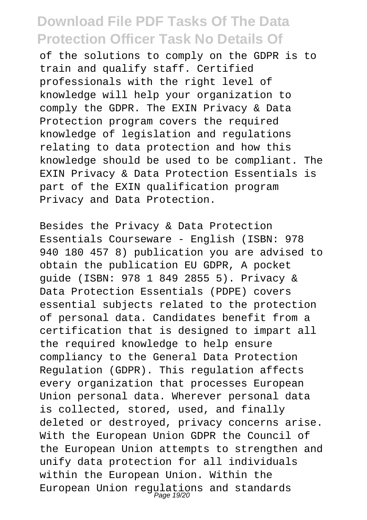of the solutions to comply on the GDPR is to train and qualify staff. Certified professionals with the right level of knowledge will help your organization to comply the GDPR. The EXIN Privacy & Data Protection program covers the required knowledge of legislation and regulations relating to data protection and how this knowledge should be used to be compliant. The EXIN Privacy & Data Protection Essentials is part of the EXIN qualification program Privacy and Data Protection.

Besides the Privacy & Data Protection Essentials Courseware - English (ISBN: 978 940 180 457 8) publication you are advised to obtain the publication EU GDPR, A pocket guide (ISBN: 978 1 849 2855 5). Privacy & Data Protection Essentials (PDPE) covers essential subjects related to the protection of personal data. Candidates benefit from a certification that is designed to impart all the required knowledge to help ensure compliancy to the General Data Protection Regulation (GDPR). This regulation affects every organization that processes European Union personal data. Wherever personal data is collected, stored, used, and finally deleted or destroyed, privacy concerns arise. With the European Union GDPR the Council of the European Union attempts to strengthen and unify data protection for all individuals within the European Union. Within the European Union regulations and standards Page 19/20